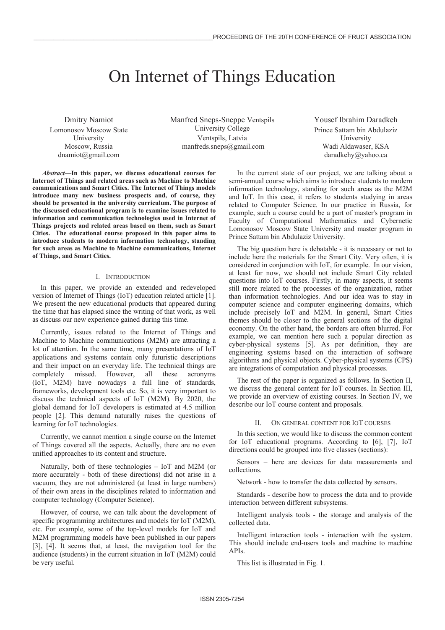# On Internet of Things Education

Dmitry Namiot Lomonosov Moscow State University Moscow, Russia dnamiot@gmail.com

Manfred Sneps-Sneppe Ventspils University College Ventspils, Latvia manfreds.sneps@gmail.com

Yousef Ibrahim Daradkeh Prince Sattam bin Abdulaziz University Wadi Aldawaser, KSA daradkehy@yahoo.ca

*Abstract***—In this paper, we discuss educational courses for Internet of Things and related areas such as Machine to Machine communications and Smart Cities. The Internet of Things models introduce many new business prospects and, of course, they should be presented in the university curriculum. The purpose of the discussed educational program is to examine issues related to information and communication technologies used in Internet of Things projects and related areas based on them, such as Smart Cities. The educational course proposed in this paper aims to introduce students to modern information technology, standing for such areas as Machine to Machine communications, Internet of Things, and Smart Cities.** 

# I. INTRODUCTION

In this paper, we provide an extended and redeveloped version of Internet of Things (IoT) education related article [1]. We present the new educational products that appeared during the time that has elapsed since the writing of that work, as well as discuss our new experience gained during this time.

Currently, issues related to the Internet of Things and Machine to Machine communications (M2M) are attracting a lot of attention. In the same time, many presentations of IoT applications and systems contain only futuristic descriptions and their impact on an everyday life. The technical things are completely missed. However, all these acronyms (IoT, M2M) have nowadays a full line of standards, frameworks, development tools etc. So, it is very important to discuss the technical aspects of IoT (M2M). By 2020, the global demand for IoT developers is estimated at 4.5 million people [2]. This demand naturally raises the questions of learning for IoT technologies.

Currently, we cannot mention a single course on the Internet of Things covered all the aspects. Actually, there are no even unified approaches to its content and structure.

Naturally, both of these technologies – IoT and M2M (or more accurately - both of these directions) did not arise in a vacuum, they are not administered (at least in large numbers) of their own areas in the disciplines related to information and computer technology (Computer Science).

However, of course, we can talk about the development of specific programming architectures and models for IoT (M2M), etc. For example, some of the top-level models for IoT and M2M programming models have been published in our papers [3], [4]. It seems that, at least, the navigation tool for the audience (students) in the current situation in IoT (M2M) could be very useful.

In the current state of our project, we are talking about a semi-annual course which aims to introduce students to modern information technology, standing for such areas as the M2M and IoT. In this case, it refers to students studying in areas related to Computer Science. In our practice in Russia, for example, such a course could be a part of master's program in Faculty of Computational Mathematics and Cybernetic Lomonosov Moscow State University and master program in Prince Sattam bin Abdulaziz University.

The big question here is debatable - it is necessary or not to include here the materials for the Smart City. Very often, it is considered in conjunction with IoT, for example. In our vision, at least for now, we should not include Smart City related questions into IoT courses. Firstly, in many aspects, it seems still more related to the processes of the organization, rather than information technologies. And our idea was to stay in computer science and computer engineering domains, which include precisely IoT and M2M. In general, Smart Cities themes should be closer to the general sections of the digital economy. On the other hand, the borders are often blurred. For example, we can mention here such a popular direction as cyber-physical systems [5]. As per definition, they are engineering systems based on the interaction of software algorithms and physical objects. Cyber-physical systems (CPS) are integrations of computation and physical processes.

The rest of the paper is organized as follows. In Section II, we discuss the general content for IoT courses. In Section III, we provide an overview of existing courses. In Section IV, we describe our IoT course content and proposals.

## II. ON GENERAL CONTENT FOR IOT COURSES

In this section, we would like to discuss the common content for IoT educational programs. According to [6], [7], IoT directions could be grouped into five classes (sections):

Sensors – here are devices for data measurements and collections.

Network - how to transfer the data collected by sensors.

Standards - describe how to process the data and to provide interaction between different subsystems.

Intelligent analysis tools - the storage and analysis of the collected data.

Intelligent interaction tools - interaction with the system. This should include end-users tools and machine to machine APIs.

This list is illustrated in Fig. 1.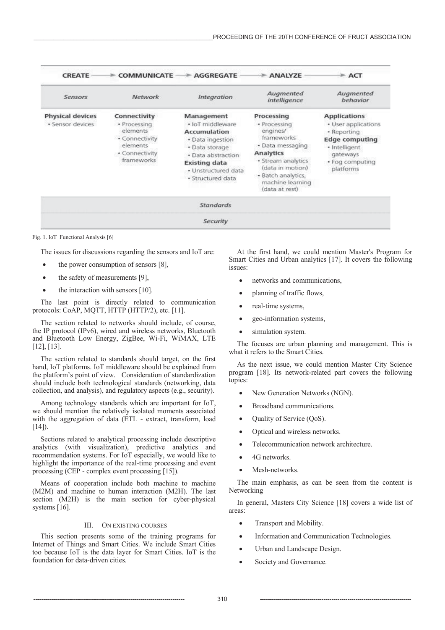| <b>CREATE</b>                               | <b>COMMUNICATE</b>                                                                                     | <b>AGGREGATE</b>                                                                                                                                                               | $>$ ANALYZE                                                                                                                                                                                 | $=$ ACT                                                                                                                                         |  |
|---------------------------------------------|--------------------------------------------------------------------------------------------------------|--------------------------------------------------------------------------------------------------------------------------------------------------------------------------------|---------------------------------------------------------------------------------------------------------------------------------------------------------------------------------------------|-------------------------------------------------------------------------------------------------------------------------------------------------|--|
| Sensors                                     | Network                                                                                                | <b>Integration</b>                                                                                                                                                             | Augmented<br>intelligence                                                                                                                                                                   | Augmented<br>behavior                                                                                                                           |  |
| <b>Physical devices</b><br>· Sensor devices | Connectivity<br>· Processing<br>elements<br>· Connectivity<br>elements<br>· Connectivity<br>frameworks | Management<br>· IoT middleware<br><b>Accumulation</b><br>· Data ingestion<br>· Data storage<br>· Data abstraction<br>Existing data<br>· Unstructured data<br>· Structured data | Processing<br>· Processing<br>engines/<br>frameworks<br>· Data messaging<br>Analytics<br>· Stream analytics<br>(data in motion)<br>· Batch analytics,<br>machine learning<br>(data at rest) | <b>Applications</b><br>· User applications<br>• Reporting<br><b>Edge computing</b><br>· Intelligent<br>gateways<br>· Fog computing<br>platforms |  |
|                                             |                                                                                                        | <b>Standards</b>                                                                                                                                                               |                                                                                                                                                                                             |                                                                                                                                                 |  |
|                                             |                                                                                                        | <b>Security</b>                                                                                                                                                                |                                                                                                                                                                                             |                                                                                                                                                 |  |

Fig. 1. IoT Functional Analysis [6]

The issues for discussions regarding the sensors and IoT are:

- $\bullet$  the power consumption of sensors [8],
- the safety of measurements  $[9]$ ,
- $\bullet$  the interaction with sensors [10].

The last point is directly related to communication protocols: CoAP, MQTT, HTTP (HTTP/2), etc. [11].

The section related to networks should include, of course, the IP protocol (IPv6), wired and wireless networks, Bluetooth and Bluetooth Low Energy, ZigBee, Wi-Fi, WiMAX, LTE [12], [13].

The section related to standards should target, on the first hand, IoT platforms. IoT middleware should be explained from the platform's point of view. Consideration of standardization should include both technological standards (networking, data collection, and analysis), and regulatory aspects (e.g., security).

Among technology standards which are important for IoT, we should mention the relatively isolated moments associated with the aggregation of data (ETL - extract, transform, load  $[14]$ ).

Sections related to analytical processing include descriptive analytics (with visualization), predictive analytics and recommendation systems. For IoT especially, we would like to highlight the importance of the real-time processing and event processing (CEP - complex event processing [15]).

Means of cooperation include both machine to machine (M2M) and machine to human interaction (M2H). The last section (M2H) is the main section for cyber-physical systems [16].

#### III. ON EXISTING COURSES

This section presents some of the training programs for Internet of Things and Smart Cities. We include Smart Cities too because IoT is the data layer for Smart Cities. IoT is the foundation for data-driven cities.

At the first hand, we could mention Master's Program for Smart Cities and Urban analytics [17]. It covers the following issues:

- networks and communications,
- planning of traffic flows,
- real-time systems,
- x geo-information systems,
- simulation system.

The focuses are urban planning and management. This is what it refers to the Smart Cities.

As the next issue, we could mention Master City Science program [18]. Its network-related part covers the following topics:

- New Generation Networks (NGN).
- Broadband communications.
- Quality of Service (QoS).
- Optical and wireless networks.
- Telecommunication network architecture.
- 4G networks.
- Mesh-networks.

The main emphasis, as can be seen from the content is Networking

In general, Masters City Science [18] covers a wide list of areas:

- Transport and Mobility.
- Information and Communication Technologies.
- Urban and Landscape Design.
- Society and Governance.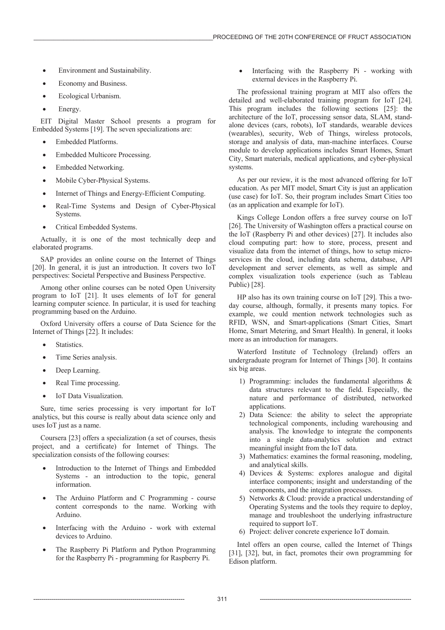- Environment and Sustainability.
- Economy and Business.
- Ecological Urbanism.
- Energy.

EIT Digital Master School presents a program for Embedded Systems [19]. The seven specializations are:

- x Embedded Platforms.
- Embedded Multicore Processing.
- **Embedded Networking**
- Mobile Cyber-Physical Systems.
- Internet of Things and Energy-Efficient Computing.
- Real-Time Systems and Design of Cyber-Physical Systems.
- Critical Embedded Systems.

Actually, it is one of the most technically deep and elaborated programs.

SAP provides an online course on the Internet of Things [20]. In general, it is just an introduction. It covers two IoT perspectives: Societal Perspective and Business Perspective.

Among other online courses can be noted Open University program to IoT [21]. It uses elements of IoT for general learning computer science. In particular, it is used for teaching programming based on the Arduino.

Oxford University offers a course of Data Science for the Internet of Things [22]. It includes:

- Statistics.
- Time Series analysis.
- Deep Learning.
- Real Time processing.
- IoT Data Visualization.

Sure, time series processing is very important for IoT analytics, but this course is really about data science only and uses IoT just as a name.

Coursera [23] offers a specialization (a set of courses, thesis project, and a certificate) for Internet of Things. The specialization consists of the following courses:

- Introduction to the Internet of Things and Embedded Systems - an introduction to the topic, general information.
- The Arduino Platform and C Programming course content corresponds to the name. Working with Arduino.
- Interfacing with the Arduino work with external devices to Arduino.
- The Raspberry Pi Platform and Python Programming for the Raspberry Pi - programming for Raspberry Pi.

Interfacing with the Raspberry Pi - working with external devices in the Raspberry Pi.

The professional training program at MIT also offers the detailed and well-elaborated training program for IoT [24]. This program includes the following sections [25]: the architecture of the IoT, processing sensor data, SLAM, standalone devices (cars, robots), IoT standards, wearable devices (wearables), security, Web of Things, wireless protocols, storage and analysis of data, man-machine interfaces. Course module to develop applications includes Smart Homes, Smart City, Smart materials, medical applications, and cyber-physical systems.

As per our review, it is the most advanced offering for IoT education. As per MIT model, Smart City is just an application (use case) for IoT. So, their program includes Smart Cities too (as an application and example for IoT).

Kings College London offers a free survey course on IoT [26]. The University of Washington offers a practical course on the IoT (Raspberry Pi and other devices) [27]. It includes also cloud computing part: how to store, process, present and visualize data from the internet of things, how to setup microservices in the cloud, including data schema, database, API development and server elements, as well as simple and complex visualization tools experience (such as Tableau Public) [28].

HP also has its own training course on IoT [29]. This a twoday course, although, formally, it presents many topics. For example, we could mention network technologies such as RFID, WSN, and Smart-applications (Smart Cities, Smart Home, Smart Metering, and Smart Health). In general, it looks more as an introduction for managers.

Waterford Institute of Technology (Ireland) offers an undergraduate program for Internet of Things [30]. It contains six big areas.

- 1) Programming: includes the fundamental algorithms & data structures relevant to the field. Especially, the nature and performance of distributed, networked applications.
- 2) Data Science: the ability to select the appropriate technological components, including warehousing and analysis. The knowledge to integrate the components into a single data-analytics solution and extract meaningful insight from the IoT data.
- 3) Mathematics: examines the formal reasoning, modeling, and analytical skills.
- 4) Devices & Systems: explores analogue and digital interface components; insight and understanding of the components, and the integration processes.
- 5) Networks & Cloud: provide a practical understanding of Operating Systems and the tools they require to deploy, manage and troubleshoot the underlying infrastructure required to support IoT.
- 6) Project: deliver concrete experience IoT domain.

Intel offers an open course, called the Internet of Things [31], [32], but, in fact, promotes their own programming for Edison platform.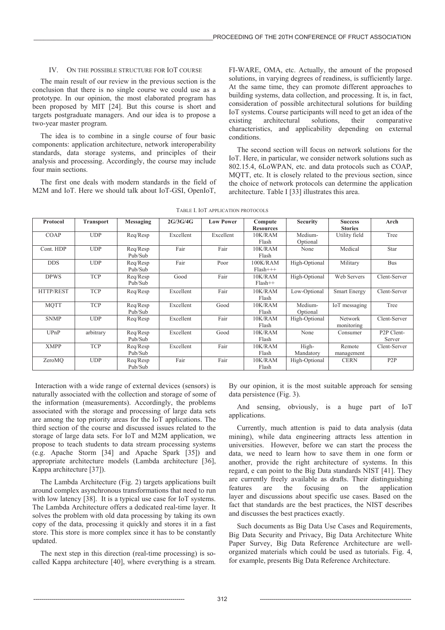# IV. ON THE POSSIBLE STRUCTURE FOR IOT COURSE

The main result of our review in the previous section is the conclusion that there is no single course we could use as a prototype. In our opinion, the most elaborated program has been proposed by MIT [24]. But this course is short and targets postgraduate managers. And our idea is to propose a two-year master program.

The idea is to combine in a single course of four basic components: application architecture, network interoperability standards, data storage systems, and principles of their analysis and processing. Accordingly, the course may include four main sections.

The first one deals with modern standards in the field of M2M and IoT. Here we should talk about IoT-GSI, OpenIoT,

FI-WARE, OMA, etc. Actually, the amount of the proposed solutions, in varying degrees of readiness, is sufficiently large. At the same time, they can promote different approaches to building systems, data collection, and processing. It is, in fact, consideration of possible architectural solutions for building IoT systems. Course participants will need to get an idea of the existing architectural solutions, their comparative characteristics, and applicability depending on external conditions.

The second section will focus on network solutions for the IoT. Here, in particular, we consider network solutions such as 802.15.4, 6LoWPAN, etc. and data protocols such as COAP, MQTT, etc. It is closely related to the previous section, since the choice of network protocols can determine the application architecture. Table I [33] illustrates this area.

| Protocol    | <b>Transport</b> | Messaging           | 2G/3G/4G  | <b>Low Power</b> | Compute<br><b>Resources</b> | <b>Security</b>     | <b>Success</b><br><b>Stories</b> | Arch                              |
|-------------|------------------|---------------------|-----------|------------------|-----------------------------|---------------------|----------------------------------|-----------------------------------|
| COAP        | <b>UDP</b>       | Req/Resp            | Excellent | Excellent        | 10K/RAM<br>Flash            | Medium-<br>Optional | Utility field                    | Tree                              |
| Cont. HDP   | <b>UDP</b>       | Req/Resp<br>Pub/Sub | Fair      | Fair             | 10K/RAM<br>Flash            | None                | Medical                          | <b>Star</b>                       |
| <b>DDS</b>  | <b>UDP</b>       | Req/Resp<br>Pub/Sub | Fair      | Poor             | 100K/RAM<br>$Flash+++$      | High-Optional       | Military                         | <b>Bus</b>                        |
| <b>DPWS</b> | <b>TCP</b>       | Reg/Resp<br>Pub/Sub | Good      | Fair             | 10K/RAM<br>$Flash++$        | High-Optional       | Web Servers                      | Clent-Server                      |
| HTTP/REST   | <b>TCP</b>       | Req/Resp            | Excellent | Fair             | 10K/RAM<br>Flash            | Low-Optional        | <b>Smart Energy</b>              | Clent-Server                      |
| <b>MQTT</b> | <b>TCP</b>       | Req/Resp<br>Pub/Sub | Excellent | Good             | 10K/RAM<br>Flash            | Medium-<br>Optional | IoT messaging                    | Tree                              |
| <b>SNMP</b> | <b>UDP</b>       | Req/Resp            | Excellent | Fair             | 10K/RAM<br>Flash            | High-Optional       | Network<br>monitoring            | Clent-Server                      |
| UPnP        | arbitrary        | Req/Resp<br>Pub/Sub | Excellent | Good             | 10K/RAM<br>Flash            | None                | Consumer                         | P <sub>2</sub> P Clent-<br>Server |
| <b>XMPP</b> | <b>TCP</b>       | Reg/Resp<br>Pub/Sub | Excellent | Fair             | 10K/RAM<br>Flash            | High-<br>Mandatory  | Remote<br>management             | Clent-Server                      |
| ZeroMO      | <b>UDP</b>       | Req/Resp<br>Pub/Sub | Fair      | Fair             | 10K/RAM<br>Flash            | High-Optional       | <b>CERN</b>                      | P2P                               |

TABLE I. IOT APPLICATION PROTOCOLS

Interaction with a wide range of external devices (sensors) is naturally associated with the collection and storage of some of the information (measurements). Accordingly, the problems associated with the storage and processing of large data sets are among the top priority areas for the IoT applications. The third section of the course and discussed issues related to the storage of large data sets. For IoT and M2M application, we propose to teach students to data stream processing systems (e.g. Apache Storm [34] and Apache Spark [35]) and appropriate architecture models (Lambda architecture [36], Kappa architecture [37]).

The Lambda Architecture (Fig. 2) targets applications built around complex asynchronous transformations that need to run with low latency [38]. It is a typical use case for IoT systems. The Lambda Architecture offers a dedicated real-time layer. It solves the problem with old data processing by taking its own copy of the data, processing it quickly and stores it in a fast store. This store is more complex since it has to be constantly updated.

The next step in this direction (real-time processing) is socalled Kappa architecture [40], where everything is a stream. By our opinion, it is the most suitable approach for sensing data persistence (Fig. 3).

And sensing, obviously, is a huge part of IoT applications.

Currently, much attention is paid to data analysis (data mining), while data engineering attracts less attention in universities. However, before we can start the process the data, we need to learn how to save them in one form or another, provide the right architecture of systems. In this regard, e can point to the Big Data standards NIST [41]. They are currently freely available as drafts. Their distinguishing features are the focusing on the application layer and discussions about specific use cases. Based on the fact that standards are the best practices, the NIST describes and discusses the best practices exactly.

Such documents as Big Data Use Cases and Requirements, Big Data Security and Privacy, Big Data Architecture White Paper Survey, Big Data Reference Architecture are wellorganized materials which could be used as tutorials. Fig. 4, for example, presents Big Data Reference Architecture.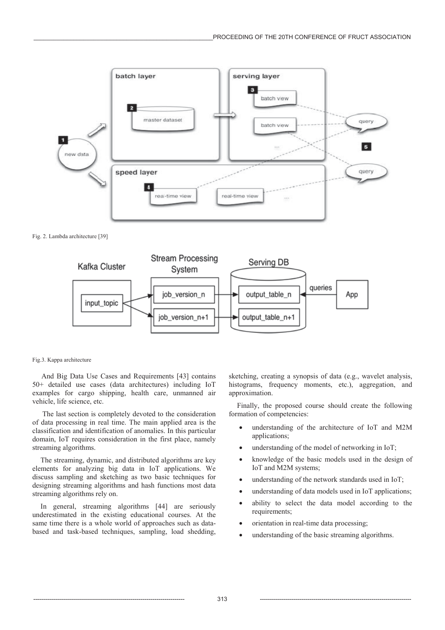

Fig. 2. Lambda architecture [39]



#### Fig.3. Kappa architecture

 And Big Data Use Cases and Requirements [43] contains 50+ detailed use cases (data architectures) including IoT examples for cargo shipping, health care, unmanned air vehicle, life science, etc.

 The last section is completely devoted to the consideration of data processing in real time. The main applied area is the classification and identification of anomalies. In this particular domain, IoT requires consideration in the first place, namely streaming algorithms.

The streaming, dynamic, and distributed algorithms are key elements for analyzing big data in IoT applications. We discuss sampling and sketching as two basic techniques for designing streaming algorithms and hash functions most data streaming algorithms rely on.

In general, streaming algorithms [44] are seriously underestimated in the existing educational courses. At the same time there is a whole world of approaches such as databased and task-based techniques, sampling, load shedding, sketching, creating a synopsis of data (e.g., wavelet analysis, histograms, frequency moments, etc.), aggregation, and approximation.

Finally, the proposed course should create the following formation of competencies:

- understanding of the architecture of IoT and M2M applications;
- understanding of the model of networking in  $I$ oT;
- x knowledge of the basic models used in the design of IoT and M2M systems;
- understanding of the network standards used in IoT;
- understanding of data models used in IoT applications;
- ability to select the data model according to the requirements;
- orientation in real-time data processing;
- understanding of the basic streaming algorithms.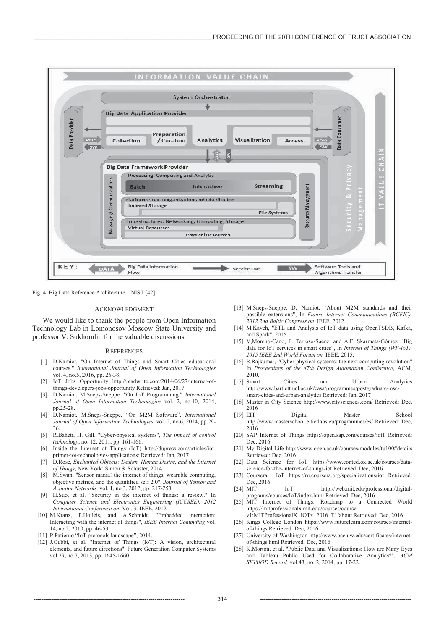

Fig. 4. Big Data Reference Architecture – NIST [42]

## ACKNOWLEDGMENT

We would like to thank the people from Open Information Technology Lab in Lomonosov Moscow State University and professor V. Sukhomlin for the valuable discussions.

### **REFERENCES**

- [1] D.Namiot, "On Internet of Things and Smart Cities educational courses." *International Journal of Open Information Technologies*  vol. 4, no.5, 2016, pp. 26-38.
- [2] IoT Jobs Opportunity http://readwrite.com/2014/06/27/internet-ofthings-developers-jobs-opportunity Retrieved: Jan, 2017.
- [3] D.Namiot, M.Sneps-Sneppe. "On IoT Programming." *International Journal of Open Information Technologies* vol. 2, no.10, 2014, pp.25-28.
- [4] D.Namiot, M.Sneps-Sneppe. "On M2M Software", *International Journal of Open Information Technologies*, vol. 2, no.6, 2014, pp.29- 36.
- [5] R.Baheti, H. Gill. "Cyber-physical systems", *The impact of control technology*, no. 12, 2011, pp. 161-166.
- [6] Inside the Internet of Things (IoT) http://dupress.com/articles/iotprimer-iot-technologies-applications/ Retrieved: Jan, 2017
- [7] D.Rose, *Enchanted Objects: Design, Human Desire, and the Internet of Things*, New York: Simon & Schuster, 2014.
- [8] M.Swan, "Sensor mania! the internet of things, wearable computing, objective metrics, and the quantified self 2.0", *Journal of Sensor and Actuator Networks,* vol. 1, no.3, 2012, pp. 217-253.
- H.Suo, et al. "Security in the internet of things: a review." In *Computer Science and Electronics Engineering (ICCSEE), 2012 International Conference on*. Vol. 3. IEEE, 2012.
- [10] M.Kranz, P.Holleis, and A.Schmidt. "Embedded interaction: Interacting with the internet of things", *IEEE Internet Computing* vol. 14, no.2, 2010, pp. 46-53.
- [11] P.Patierno "IoT protocols landscape", 2014.
- [12] J.Gubbi, et al. "Internet of Things (IoT): A vision, architectural elements, and future directions", Future Generation Computer Systems vol.29, no.7, 2013, pp. 1645-1660.
- [13] M.Sneps-Sneppe, D. Namiot. "About M2M standards and their possible extensions", In *Future Internet Communications (BCFIC), 2012 2nd Baltic Congress on*. IEEE, 2012.
- [14] M.Kaveh, "ETL and Analysis of IoT data using OpenTSDB, Kafka, and Spark", 2015.
- [15] V,Moreno-Cano, F. Terroso-Saenz, and A.F. Skarmeta-Gómez. "Big data for IoT services in smart cities", In *Internet of Things (WF-IoT), 2015 IEEE 2nd World Forum on.* IEEE, 2015.
- [16] R.Rajkumar, "Cyber-physical systems: the next computing revolution" In *Proceedings of the 47th Design Automation Conference*, ACM, 2010.
- [17] Smart Cities and Urban Analytics http://www.bartlett.ucl.ac.uk/casa/programmes/postgraduate/mscsmart-cities-and-urban-analytics Retrieved: Jan, 2017
- [18] Master in City Science http://www.citysciences.com/ Retrieved: Dec, 2016
- [19] EIT Digital Master School http://www.masterschool.eitictlabs.eu/programmes/es/ Retrieved: Dec, 2016
- [20] SAP Internet of Things https://open.sap.com/courses/iot1 Retrieved: Dec, 2016
- [21] My Digital Life http://www.open.ac.uk/courses/modules/tu100#details Retrieved: Dec, 2016
- [22] Data Science for IoT https://www.conted.ox.ac.uk/courses/datascience-for-the-internet-of-things-iot Retrieved: Dec, 2016
- [23] Coursera IoT https://ru.coursera.org/specializations/iot Retrieved: Dec, 2016
- [24] MIT IoT http://web.mit.edu/professional/digitalprograms/courses/IoT/index.html Retrieved: Dec, 2016
- [25] MIT Internet of Things: Roadmap to a Connected World https://mitprofessionalx.mit.edu/courses/course
	- v1:MITProfessionalX+IOTx+2016\_T1/about Retrieved: Dec, 2016
- [26] Kings College London https://www.futurelearn.com/courses/internetof-things Retrieved: Dec, 2016
- [27] University of Washington http://www.pce.uw.edu/certificates/internetof-things.html Retrieved: Dec, 2016
- [28] K.Morton, et al. "Public Data and Visualizations: How are Many Eyes and Tableau Public Used for Collaborative Analytics?", *ACM SIGMOD Record,* vol.43, no..2, 2014, pp. 17-22.